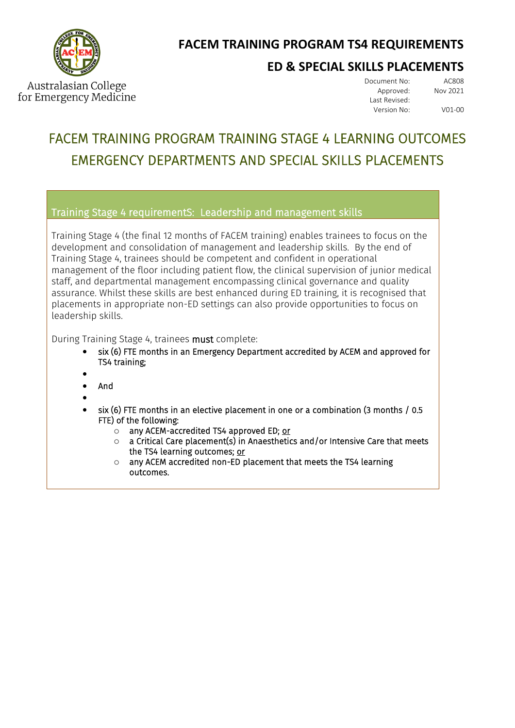

## **FACEM TRAINING PROGRAM TS4 REQUIREMENTS**

## **ED & SPECIAL SKILLS PLACEMENTS**

Australasian College for Emergency Medicine Document No: AC808<br>Approved: Nov 2021 Approved: Last Revised: Version No: V01-00

# FACEM TRAINING PROGRAM TRAINING STAGE 4 LEARNING OUTCOMES EMERGENCY DEPARTMENTS AND SPECIAL SKILLS PLACEMENTS

Training Stage 4 requirementS: Leadership and management skills

Training Stage 4 (the final 12 months of FACEM training) enables trainees to focus on the development and consolidation of management and leadership skills. By the end of Training Stage 4, trainees should be competent and confident in operational management of the floor including patient flow, the clinical supervision of junior medical staff, and departmental management encompassing clinical governance and quality assurance. Whilst these skills are best enhanced during ED training, it is recognised that placements in appropriate non-ED settings can also provide opportunities to focus on leadership skills.

During Training Stage 4, trainees must complete:

- six (6) FTE months in an Emergency Department accredited by ACEM and approved for TS4 training;
- - And
- •
- six (6) FTE months in an elective placement in one or a combination (3 months / 0.5 FTE) of the following:
	- o any ACEM-accredited TS4 approved ED; or
	- $\circ$  a Critical Care placement(s) in Anaesthetics and/or Intensive Care that meets the TS4 learning outcomes; or
	- o any ACEM accredited non-ED placement that meets the TS4 learning outcomes.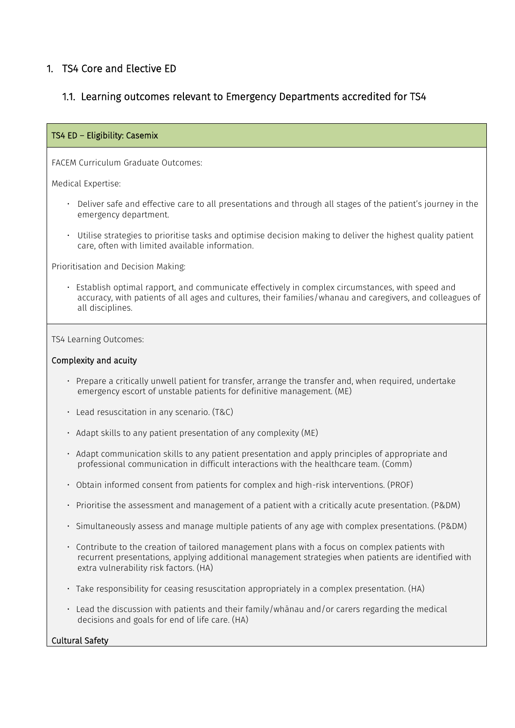### 1. TS4 Core and Elective ED

### 1.1. Learning outcomes relevant to Emergency Departments accredited for TS4

#### TS4 ED – Eligibility: Casemix

FACEM Curriculum Graduate Outcomes:

Medical Expertise:

- Deliver safe and effective care to all presentations and through all stages of the patient's journey in the emergency department.
- Utilise strategies to prioritise tasks and optimise decision making to deliver the highest quality patient care, often with limited available information.

Prioritisation and Decision Making:

• Establish optimal rapport, and communicate effectively in complex circumstances, with speed and accuracy, with patients of all ages and cultures, their families/whanau and caregivers, and colleagues of all disciplines.

TS4 Learning Outcomes:

#### Complexity and acuity

- Prepare a critically unwell patient for transfer, arrange the transfer and, when required, undertake emergency escort of unstable patients for definitive management. (ME)
- Lead resuscitation in any scenario. (T&C)
- Adapt skills to any patient presentation of any complexity (ME)
- Adapt communication skills to any patient presentation and apply principles of appropriate and professional communication in difficult interactions with the healthcare team. (Comm)
- Obtain informed consent from patients for complex and high-risk interventions. (PROF)
- Prioritise the assessment and management of a patient with a critically acute presentation. (P&DM)
- Simultaneously assess and manage multiple patients of any age with complex presentations. (P&DM)
- Contribute to the creation of tailored management plans with a focus on complex patients with recurrent presentations, applying additional management strategies when patients are identified with extra vulnerability risk factors. (HA)
- Take responsibility for ceasing resuscitation appropriately in a complex presentation. (HA)
- Lead the discussion with patients and their family/whānau and/or carers regarding the medical decisions and goals for end of life care. (HA)

#### Cultural Safety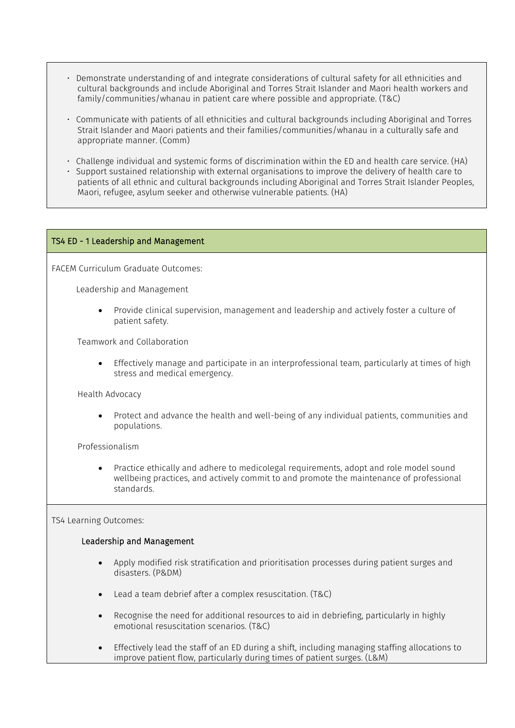- Demonstrate understanding of and integrate considerations of cultural safety for all ethnicities and cultural backgrounds and include Aboriginal and Torres Strait Islander and Maori health workers and family/communities/whanau in patient care where possible and appropriate. (T&C)
- Communicate with patients of all ethnicities and cultural backgrounds including Aboriginal and Torres Strait Islander and Maori patients and their families/communities/whanau in a culturally safe and appropriate manner. (Comm)
- Challenge individual and systemic forms of discrimination within the ED and health care service. (HA)
- Support sustained relationship with external organisations to improve the delivery of health care to patients of all ethnic and cultural backgrounds including Aboriginal and Torres Strait Islander Peoples, Maori, refugee, asylum seeker and otherwise vulnerable patients. (HA)

#### TS4 ED - 1 Leadership and Management

FACEM Curriculum Graduate Outcomes:

Leadership and Management

• Provide clinical supervision, management and leadership and actively foster a culture of patient safety.

Teamwork and Collaboration

• Effectively manage and participate in an interprofessional team, particularly at times of high stress and medical emergency.

Health Advocacy

• Protect and advance the health and well-being of any individual patients, communities and populations.

Professionalism

• Practice ethically and adhere to medicolegal requirements, adopt and role model sound wellbeing practices, and actively commit to and promote the maintenance of professional standards.

#### TS4 Learning Outcomes:

#### Leadership and Management

- Apply modified risk stratification and prioritisation processes during patient surges and disasters. (P&DM)
- Lead a team debrief after a complex resuscitation. (T&C)
- Recognise the need for additional resources to aid in debriefing, particularly in highly emotional resuscitation scenarios. (T&C)
- Effectively lead the staff of an ED during a shift, including managing staffing allocations to improve patient flow, particularly during times of patient surges. (L&M)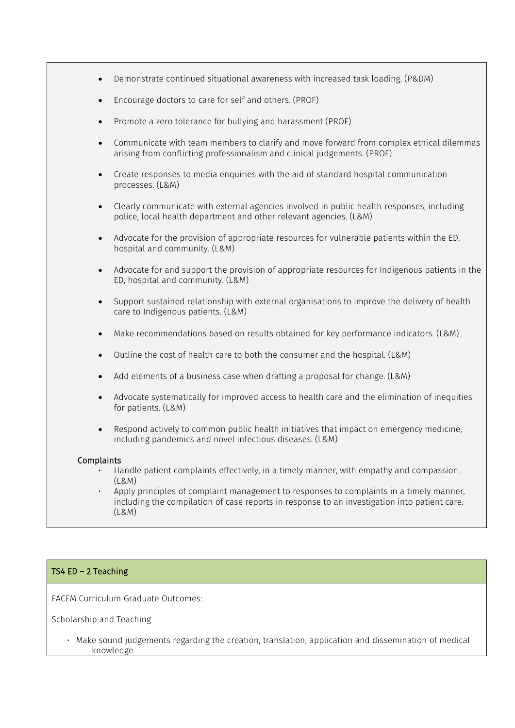- Demonstrate continued situational awareness with increased task loading. (P&DM)
- Encourage doctors to care for self and others. (PROF)
- Promote a zero tolerance for bullying and harassment (PROF)
- Communicate with team members to clarify and move forward from complex ethical dilemmas arising from conflicting professionalism and clinical judgements. (PROF)
- Create responses to media enquiries with the aid of standard hospital communication processes. (L&M)
- Clearly communicate with external agencies involved in public health responses, including police, local health department and other relevant agencies. (L&M)
- Advocate for the provision of appropriate resources for vulnerable patients within the ED, hospital and community. (L&M)
- Advocate for and support the provision of appropriate resources for Indigenous patients in the ED, hospital and community. (L&M)
- Support sustained relationship with external organisations to improve the delivery of health care to Indigenous patients. (L&M)
- Make recommendations based on results obtained for key performance indicators. (L&M)
- Outline the cost of health care to both the consumer and the hospital. (L&M)
- Add elements of a business case when drafting a proposal for change. (L&M)
- Advocate systematically for improved access to health care and the elimination of inequities for patients. (L&M)
- Respond actively to common public health initiatives that impact on emergency medicine, including pandemics and novel infectious diseases. (L&M)

#### **Complaints**

- Handle patient complaints effectively, in a timely manner, with empathy and compassion. (L&M)
- Apply principles of complaint management to responses to complaints in a timely manner, including the compilation of case reports in response to an investigation into patient care. (L&M)

#### TS4 ED – 2 Teaching

FACEM Curriculum Graduate Outcomes:

Scholarship and Teaching

• Make sound judgements regarding the creation, translation, application and dissemination of medical knowledge.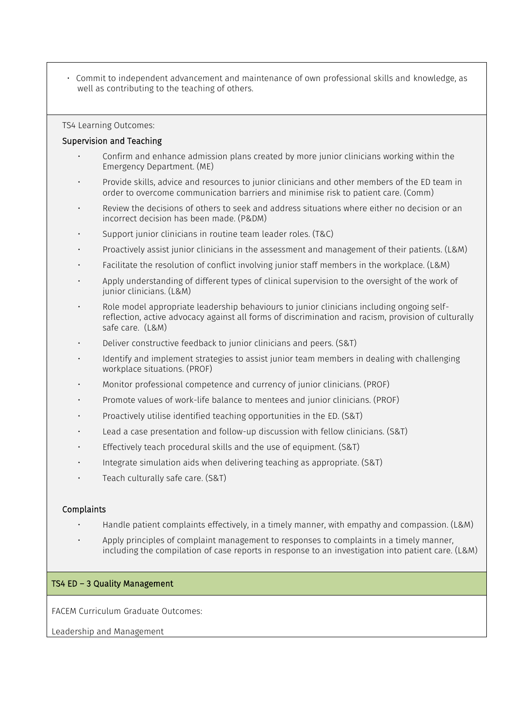• Commit to independent advancement and maintenance of own professional skills and knowledge, as well as contributing to the teaching of others.

#### TS4 Learning Outcomes:

#### Supervision and Teaching

- Confirm and enhance admission plans created by more junior clinicians working within the Emergency Department. (ME)
- Provide skills, advice and resources to junior clinicians and other members of the ED team in order to overcome communication barriers and minimise risk to patient care. (Comm)
- Review the decisions of others to seek and address situations where either no decision or an incorrect decision has been made. (P&DM)
- Support junior clinicians in routine team leader roles. (T&C)
- Proactively assist junior clinicians in the assessment and management of their patients. (L&M)
- Facilitate the resolution of conflict involving junior staff members in the workplace. (L&M)
- Apply understanding of different types of clinical supervision to the oversight of the work of junior clinicians. (L&M)
- Role model appropriate leadership behaviours to junior clinicians including ongoing selfreflection, active advocacy against all forms of discrimination and racism, provision of culturally safe care. (L&M)
- Deliver constructive feedback to junior clinicians and peers. (S&T)
- Identify and implement strategies to assist junior team members in dealing with challenging workplace situations. (PROF)
- Monitor professional competence and currency of junior clinicians. (PROF)
- Promote values of work-life balance to mentees and junior clinicians. (PROF)
- Proactively utilise identified teaching opportunities in the ED. (S&T)
- Lead a case presentation and follow-up discussion with fellow clinicians. (S&T)
- Effectively teach procedural skills and the use of equipment. (S&T)
- Integrate simulation aids when delivering teaching as appropriate. (S&T)
- Teach culturally safe care. (S&T)

#### Complaints

- Handle patient complaints effectively, in a timely manner, with empathy and compassion. (L&M)
- Apply principles of complaint management to responses to complaints in a timely manner, including the compilation of case reports in response to an investigation into patient care. (L&M)

#### TS4 ED – 3 Quality Management

FACEM Curriculum Graduate Outcomes:

Leadership and Management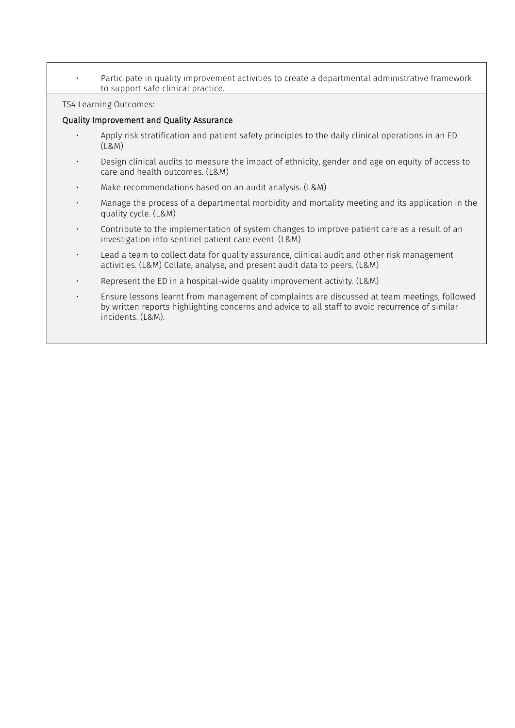• Participate in quality improvement activities to create a departmental administrative framework to support safe clinical practice.

TS4 Learning Outcomes:

#### Quality Improvement and Quality Assurance

- Apply risk stratification and patient safety principles to the daily clinical operations in an ED. (L&M)
- Design clinical audits to measure the impact of ethnicity, gender and age on equity of access to care and health outcomes. (L&M)
- Make recommendations based on an audit analysis. (L&M)
- Manage the process of a departmental morbidity and mortality meeting and its application in the quality cycle. (L&M)
- Contribute to the implementation of system changes to improve patient care as a result of an investigation into sentinel patient care event. (L&M)
- Lead a team to collect data for quality assurance, clinical audit and other risk management activities. (L&M) Collate, analyse, and present audit data to peers. (L&M)
- Represent the ED in a hospital-wide quality improvement activity. (L&M)
- Ensure lessons learnt from management of complaints are discussed at team meetings, followed by written reports highlighting concerns and advice to all staff to avoid recurrence of similar incidents. (L&M).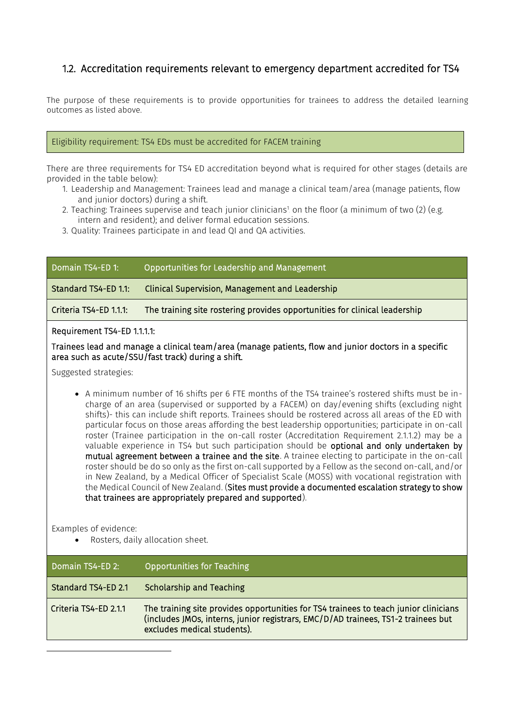### 1.2. Accreditation requirements relevant to emergency department accredited for TS4

The purpose of these requirements is to provide opportunities for trainees to address the detailed learning outcomes as listed above.

#### Eligibility requirement: TS4 EDs must be accredited for FACEM training

There are three requirements for TS4 ED accreditation beyond what is required for other stages (details are provided in the table below):

- 1. Leadership and Management: Trainees lead and manage a clinical team/area (manage patients, flow and junior doctors) during a shift.
- 2. Teaching: Trainees supervise and teach junior clinicians<sup>1</sup> on the floor (a minimum of two (2) (e.g. intern and resident); and deliver formal education sessions.
- 3. Quality: Trainees participate in and lead QI and QA activities.

| Domain TS4-ED 1:     | Opportunities for Leadership and Management     |
|----------------------|-------------------------------------------------|
| Standard TS4-ED 1.1: | Clinical Supervision, Management and Leadership |

Criteria TS4-ED 1.1.1: The training site rostering provides opportunities for clinical leadership

#### Requirement TS4-ED 1.1.1.1:

Trainees lead and manage a clinical team/area (manage patients, flow and junior doctors in a specific area such as acute/SSU/fast track) during a shift.

Suggested strategies:

• A minimum number of 16 shifts per 6 FTE months of the TS4 trainee's rostered shifts must be incharge of an area (supervised or supported by a FACEM) on day/evening shifts (excluding night shifts)- this can include shift reports. Trainees should be rostered across all areas of the ED with particular focus on those areas affording the best leadership opportunities; participate in on-call roster (Trainee participation in the on-call roster (Accreditation Requirement 2.1.1.2) may be a valuable experience in TS4 but such participation should be optional and only undertaken by mutual agreement between a trainee and the site. A trainee electing to participate in the on-call roster should be do so only as the first on-call supported by a Fellow as the second on-call, and/or in New Zealand, by a Medical Officer of Specialist Scale (MOSS) with vocational registration with the Medical Council of New Zealand. (Sites must provide a documented escalation strategy to show that trainees are appropriately prepared and supported).

Examples of evidence:

• Rosters, daily allocation sheet.

| Domain TS4-ED 2:      | <b>Opportunities for Teaching</b>                                                                                                                                                                        |
|-----------------------|----------------------------------------------------------------------------------------------------------------------------------------------------------------------------------------------------------|
| Standard TS4-ED 2.1   | <b>Scholarship and Teaching</b>                                                                                                                                                                          |
| Criteria TS4-ED 2.1.1 | The training site provides opportunities for TS4 trainees to teach junior clinicians<br>(includes JMOs, interns, junior registrars, EMC/D/AD trainees, TS1-2 trainees but<br>excludes medical students). |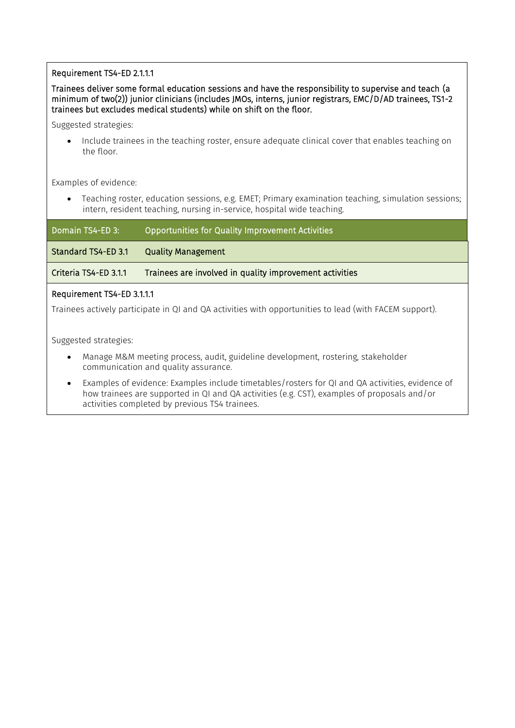#### Requirement TS4-ED 2.1.1.1

#### Trainees deliver some formal education sessions and have the responsibility to supervise and teach (a minimum of two(2)) junior clinicians (includes JMOs, interns, junior registrars, EMC/D/AD trainees, TS1-2 trainees but excludes medical students) while on shift on the floor.

Suggested strategies:

• Include trainees in the teaching roster, ensure adequate clinical cover that enables teaching on the floor.

Examples of evidence:

• Teaching roster, education sessions, e.g. EMET; Primary examination teaching, simulation sessions; intern, resident teaching, nursing in-service, hospital wide teaching.

| Domain TS4-ED 3:               | Opportunities for Quality Improvement Activities        |  |
|--------------------------------|---------------------------------------------------------|--|
| <b>Standard TS4-ED 3.1</b>     | <b>Quality Management</b>                               |  |
| Criteria TS4-ED 3.1.1          | Trainees are involved in quality improvement activities |  |
| <b>Doguiromont TCALED 2111</b> |                                                         |  |

#### Requirement TS4-ED 3.1.1.1

Trainees actively participate in QI and QA activities with opportunities to lead (with FACEM support).

Suggested strategies:

- Manage M&M meeting process, audit, guideline development, rostering, stakeholder communication and quality assurance.
- Examples of evidence: Examples include timetables/rosters for QI and QA activities, evidence of how trainees are supported in QI and QA activities (e.g. CST), examples of proposals and/or activities completed by previous TS4 trainees.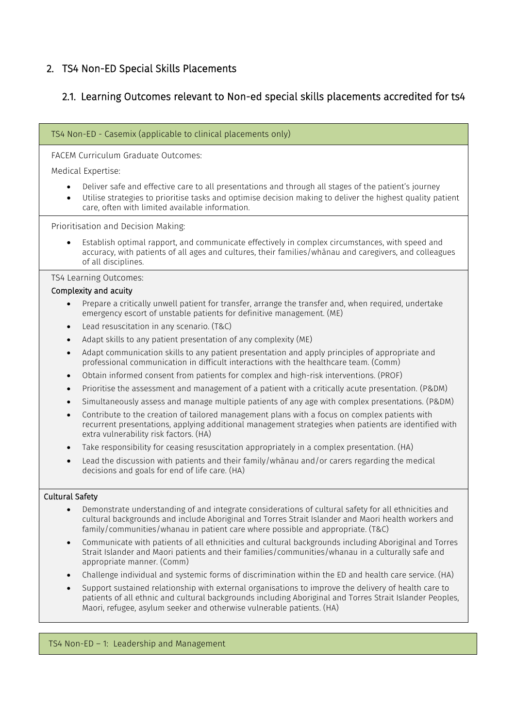## 2. TS4 Non-ED Special Skills Placements

## 2.1. Learning Outcomes relevant to Non-ed special skills placements accredited for ts4

| TS4 Non-ED - Casemix (applicable to clinical placements only)                                                                                                                                                                                                                                                                                                                                                   |  |  |
|-----------------------------------------------------------------------------------------------------------------------------------------------------------------------------------------------------------------------------------------------------------------------------------------------------------------------------------------------------------------------------------------------------------------|--|--|
| FACEM Curriculum Graduate Outcomes:                                                                                                                                                                                                                                                                                                                                                                             |  |  |
| Medical Expertise:                                                                                                                                                                                                                                                                                                                                                                                              |  |  |
| Deliver safe and effective care to all presentations and through all stages of the patient's journey<br>Utilise strategies to prioritise tasks and optimise decision making to deliver the highest quality patient<br>care, often with limited available information.                                                                                                                                           |  |  |
| Prioritisation and Decision Making:                                                                                                                                                                                                                                                                                                                                                                             |  |  |
| Establish optimal rapport, and communicate effectively in complex circumstances, with speed and<br>accuracy, with patients of all ages and cultures, their families/whanau and caregivers, and colleagues<br>of all disciplines.                                                                                                                                                                                |  |  |
| TS4 Learning Outcomes:                                                                                                                                                                                                                                                                                                                                                                                          |  |  |
| Complexity and acuity                                                                                                                                                                                                                                                                                                                                                                                           |  |  |
| Prepare a critically unwell patient for transfer, arrange the transfer and, when required, undertake<br>emergency escort of unstable patients for definitive management. (ME)                                                                                                                                                                                                                                   |  |  |
| Lead resuscitation in any scenario. (T&C)<br>٠                                                                                                                                                                                                                                                                                                                                                                  |  |  |
| Adapt skills to any patient presentation of any complexity (ME)<br>$\bullet$                                                                                                                                                                                                                                                                                                                                    |  |  |
| Adapt communication skills to any patient presentation and apply principles of appropriate and<br>$\bullet$<br>professional communication in difficult interactions with the healthcare team. (Comm)                                                                                                                                                                                                            |  |  |
| Obtain informed consent from patients for complex and high-risk interventions. (PROF)<br>$\bullet$                                                                                                                                                                                                                                                                                                              |  |  |
| Prioritise the assessment and management of a patient with a critically acute presentation. (P&DM)<br>$\bullet$                                                                                                                                                                                                                                                                                                 |  |  |
| Simultaneously assess and manage multiple patients of any age with complex presentations. (P&DM)<br>$\bullet$                                                                                                                                                                                                                                                                                                   |  |  |
| Contribute to the creation of tailored management plans with a focus on complex patients with<br>$\bullet$<br>recurrent presentations, applying additional management strategies when patients are identified with<br>extra vulnerability risk factors. (HA)                                                                                                                                                    |  |  |
| Take responsibility for ceasing resuscitation appropriately in a complex presentation. (HA)                                                                                                                                                                                                                                                                                                                     |  |  |
| Lead the discussion with patients and their family/whanau and/or carers regarding the medical<br>decisions and goals for end of life care. (HA)                                                                                                                                                                                                                                                                 |  |  |
| <b>Cultural Safety</b>                                                                                                                                                                                                                                                                                                                                                                                          |  |  |
| Demonstrate understanding of and integrate considerations of cultural safety for all ethnicities and<br>cultural backgrounds and include Aboriginal and Torres Strait Islander and Maori health workers and<br>family/communities/whanau in patient care where possible and appropriate. (T&C)                                                                                                                  |  |  |
| Communicate with patients of all ethnicities and cultural backgrounds including Aboriginal and Torres<br>$\bullet$<br>Strait Islander and Maori patients and their families/communities/whanau in a culturally safe and<br>appropriate manner. (Comm)                                                                                                                                                           |  |  |
| Challenge individual and systemic forms of discrimination within the ED and health care service. (HA)<br>Support sustained relationship with external organisations to improve the delivery of health care to<br>$\bullet$<br>patients of all ethnic and cultural backgrounds including Aboriginal and Torres Strait Islander Peoples,<br>Maori, refugee, asylum seeker and otherwise vulnerable patients. (HA) |  |  |

### TS4 Non-ED – 1: Leadership and Management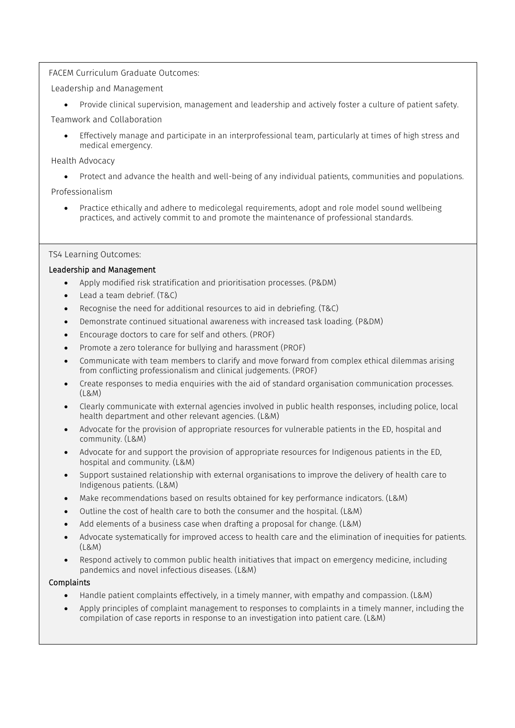#### FACEM Curriculum Graduate Outcomes:

Leadership and Management

• Provide clinical supervision, management and leadership and actively foster a culture of patient safety.

Teamwork and Collaboration

• Effectively manage and participate in an interprofessional team, particularly at times of high stress and medical emergency.

#### Health Advocacy

• Protect and advance the health and well-being of any individual patients, communities and populations.

Professionalism

• Practice ethically and adhere to medicolegal requirements, adopt and role model sound wellbeing practices, and actively commit to and promote the maintenance of professional standards.

#### TS4 Learning Outcomes:

#### Leadership and Management

- Apply modified risk stratification and prioritisation processes. (P&DM)
- Lead a team debrief. (T&C)
- Recognise the need for additional resources to aid in debriefing. (T&C)
- Demonstrate continued situational awareness with increased task loading. (P&DM)
- Encourage doctors to care for self and others. (PROF)
- Promote a zero tolerance for bullying and harassment (PROF)
- Communicate with team members to clarify and move forward from complex ethical dilemmas arising from conflicting professionalism and clinical judgements. (PROF)
- Create responses to media enquiries with the aid of standard organisation communication processes. (L&M)
- Clearly communicate with external agencies involved in public health responses, including police, local health department and other relevant agencies. (L&M)
- Advocate for the provision of appropriate resources for vulnerable patients in the ED, hospital and community. (L&M)
- Advocate for and support the provision of appropriate resources for Indigenous patients in the ED, hospital and community. (L&M)
- Support sustained relationship with external organisations to improve the delivery of health care to Indigenous patients. (L&M)
- Make recommendations based on results obtained for key performance indicators. (L&M)
- Outline the cost of health care to both the consumer and the hospital. (L&M)
- Add elements of a business case when drafting a proposal for change. (L&M)
- Advocate systematically for improved access to health care and the elimination of inequities for patients.  $(1.8M)$
- Respond actively to common public health initiatives that impact on emergency medicine, including pandemics and novel infectious diseases. (L&M)

#### Complaints

- Handle patient complaints effectively, in a timely manner, with empathy and compassion. (L&M)
- Apply principles of complaint management to responses to complaints in a timely manner, including the compilation of case reports in response to an investigation into patient care. (L&M)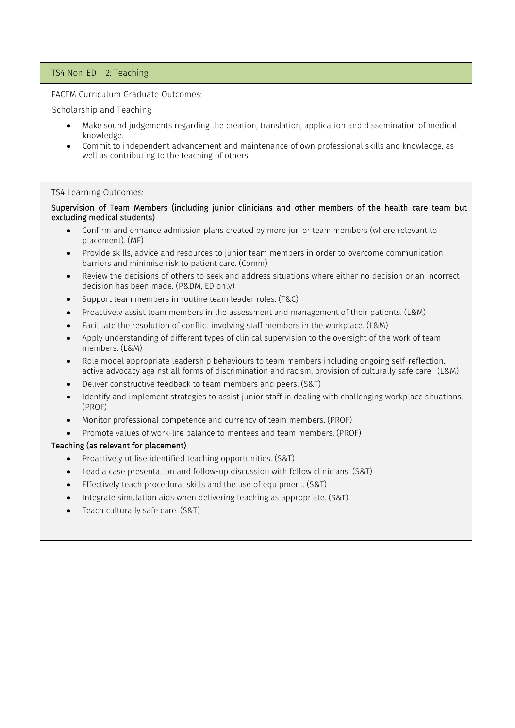#### TS4 Non-ED – 2: Teaching

FACEM Curriculum Graduate Outcomes:

#### Scholarship and Teaching

- Make sound judgements regarding the creation, translation, application and dissemination of medical knowledge.
- Commit to independent advancement and maintenance of own professional skills and knowledge, as well as contributing to the teaching of others.

#### TS4 Learning Outcomes:

#### Supervision of Team Members (including junior clinicians and other members of the health care team but excluding medical students)

- Confirm and enhance admission plans created by more junior team members (where relevant to placement). (ME)
- Provide skills, advice and resources to junior team members in order to overcome communication barriers and minimise risk to patient care. (Comm)
- Review the decisions of others to seek and address situations where either no decision or an incorrect decision has been made. (P&DM, ED only)
- Support team members in routine team leader roles. (T&C)
- Proactively assist team members in the assessment and management of their patients. (L&M)
- Facilitate the resolution of conflict involving staff members in the workplace. (L&M)
- Apply understanding of different types of clinical supervision to the oversight of the work of team members. (L&M)
- Role model appropriate leadership behaviours to team members including ongoing self-reflection, active advocacy against all forms of discrimination and racism, provision of culturally safe care. (L&M)
- Deliver constructive feedback to team members and peers. (S&T)
- Identify and implement strategies to assist junior staff in dealing with challenging workplace situations. (PROF)
- Monitor professional competence and currency of team members. (PROF)
- Promote values of work-life balance to mentees and team members. (PROF)

#### Teaching (as relevant for placement)

- Proactively utilise identified teaching opportunities. (S&T)
- Lead a case presentation and follow-up discussion with fellow clinicians. (S&T)
- Effectively teach procedural skills and the use of equipment. (S&T)
- Integrate simulation aids when delivering teaching as appropriate. (S&T)
- Teach culturally safe care. (S&T)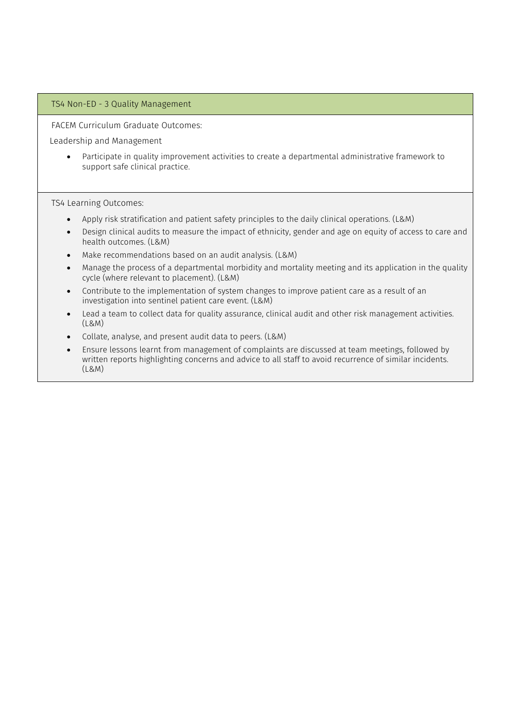#### TS4 Non-ED - 3 Quality Management

FACEM Curriculum Graduate Outcomes:

Leadership and Management

• Participate in quality improvement activities to create a departmental administrative framework to support safe clinical practice.

TS4 Learning Outcomes:

- Apply risk stratification and patient safety principles to the daily clinical operations. (L&M)
- Design clinical audits to measure the impact of ethnicity, gender and age on equity of access to care and health outcomes. (L&M)
- Make recommendations based on an audit analysis. (L&M)
- Manage the process of a departmental morbidity and mortality meeting and its application in the quality cycle (where relevant to placement). (L&M)
- Contribute to the implementation of system changes to improve patient care as a result of an investigation into sentinel patient care event. (L&M)
- Lead a team to collect data for quality assurance, clinical audit and other risk management activities. (L&M)
- Collate, analyse, and present audit data to peers. (L&M)
- Ensure lessons learnt from management of complaints are discussed at team meetings, followed by written reports highlighting concerns and advice to all staff to avoid recurrence of similar incidents. (L&M)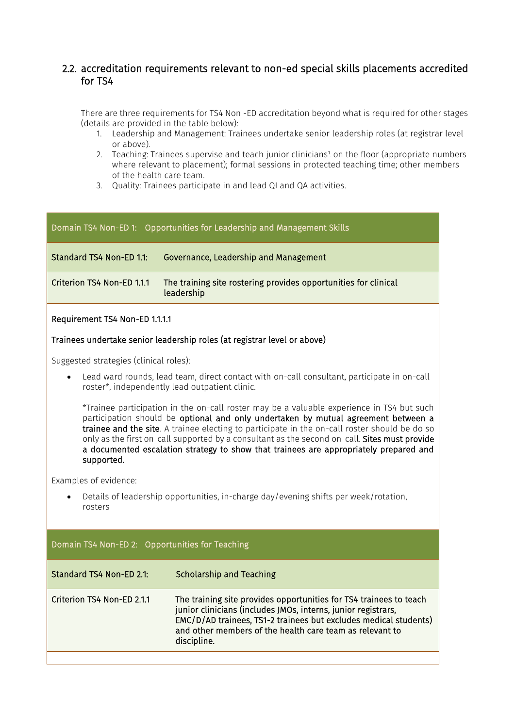### 2.2. accreditation requirements relevant to non-ed special skills placements accredited for TS4

There are three requirements for TS4 Non -ED accreditation beyond what is required for other stages (details are provided in the table below):

- 1. Leadership and Management: Trainees undertake senior leadership roles (at registrar level or above).
- 2. Teaching: Trainees supervise and teach junior clinicians1 on the floor (appropriate numbers where relevant to placement); formal sessions in protected teaching time; other members of the health care team.
- 3. Quality: Trainees participate in and lead QI and QA activities.

| Domain TS4 Non-ED 1: Opportunities for Leadership and Management Skills |                                                                               |  |  |
|-------------------------------------------------------------------------|-------------------------------------------------------------------------------|--|--|
| Standard TS4 Non-ED 1.1:                                                | Governance, Leadership and Management                                         |  |  |
| Criterion TS4 Non-ED 1.1.1                                              | The training site rostering provides opportunities for clinical<br>leadership |  |  |
| Requirement TS4 Non-ED 1.1.1.1                                          |                                                                               |  |  |

#### Trainees undertake senior leadership roles (at registrar level or above)

Suggested strategies (clinical roles):

• Lead ward rounds, lead team, direct contact with on-call consultant, participate in on-call roster\*, independently lead outpatient clinic.

\*Trainee participation in the on-call roster may be a valuable experience in TS4 but such participation should be optional and only undertaken by mutual agreement between a trainee and the site. A trainee electing to participate in the on-call roster should be do so only as the first on-call supported by a consultant as the second on-call. Sites must provide a documented escalation strategy to show that trainees are appropriately prepared and supported.

Examples of evidence:

• Details of leadership opportunities, in-charge day/evening shifts per week/rotation, rosters

## Domain TS4 Non-ED 2: Opportunities for Teaching Standard TS4 Non-ED 2.1: Scholarship and Teaching Criterion TS4 Non-ED 2.1.1 The training site provides opportunities for TS4 trainees to teach junior clinicians (includes JMOs, interns, junior registrars, EMC/D/AD trainees, TS1-2 trainees but excludes medical students) and other members of the health care team as relevant to discipline.